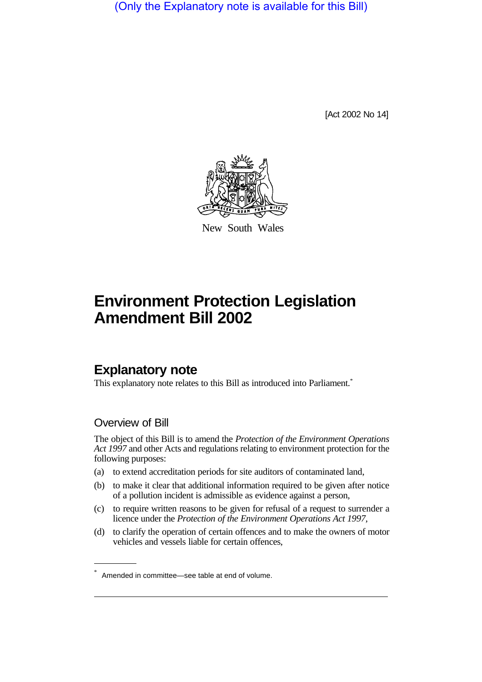(Only the Explanatory note is available for this Bill)

[Act 2002 No 14]



New South Wales

# **Environment Protection Legislation Amendment Bill 2002**

# **Explanatory note**

This explanatory note relates to this Bill as introduced into Parliament.<sup>\*</sup>

## Overview of Bill

The object of this Bill is to amend the *Protection of the Environment Operations Act 1997* and other Acts and regulations relating to environment protection for the following purposes:

- (a) to extend accreditation periods for site auditors of contaminated land,
- (b) to make it clear that additional information required to be given after notice of a pollution incident is admissible as evidence against a person,
- (c) to require written reasons to be given for refusal of a request to surrender a licence under the *Protection of the Environment Operations Act 1997*,
- (d) to clarify the operation of certain offences and to make the owners of motor vehicles and vessels liable for certain offences,

Amended in committee—see table at end of volume.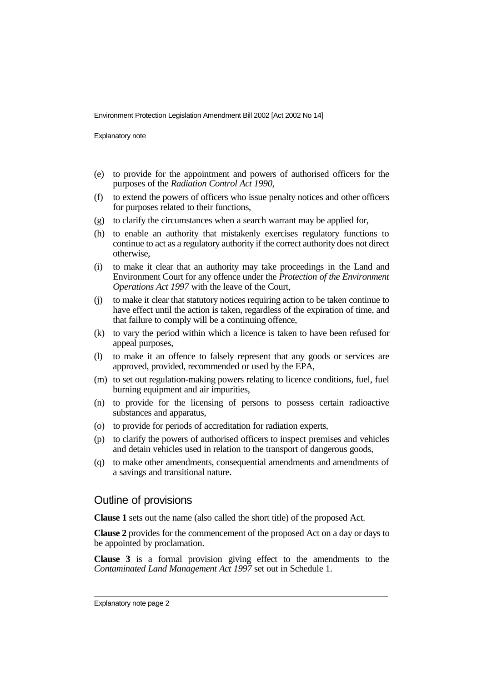Explanatory note

- (e) to provide for the appointment and powers of authorised officers for the purposes of the *Radiation Control Act 1990*,
- (f) to extend the powers of officers who issue penalty notices and other officers for purposes related to their functions,
- (g) to clarify the circumstances when a search warrant may be applied for,
- (h) to enable an authority that mistakenly exercises regulatory functions to continue to act as a regulatory authority if the correct authority does not direct otherwise,
- (i) to make it clear that an authority may take proceedings in the Land and Environment Court for any offence under the *Protection of the Environment Operations Act 1997* with the leave of the Court,
- (j) to make it clear that statutory notices requiring action to be taken continue to have effect until the action is taken, regardless of the expiration of time, and that failure to comply will be a continuing offence,
- (k) to vary the period within which a licence is taken to have been refused for appeal purposes,
- (l) to make it an offence to falsely represent that any goods or services are approved, provided, recommended or used by the EPA,
- (m) to set out regulation-making powers relating to licence conditions, fuel, fuel burning equipment and air impurities,
- (n) to provide for the licensing of persons to possess certain radioactive substances and apparatus,
- (o) to provide for periods of accreditation for radiation experts,
- (p) to clarify the powers of authorised officers to inspect premises and vehicles and detain vehicles used in relation to the transport of dangerous goods,
- (q) to make other amendments, consequential amendments and amendments of a savings and transitional nature.

### Outline of provisions

**Clause 1** sets out the name (also called the short title) of the proposed Act.

**Clause 2** provides for the commencement of the proposed Act on a day or days to be appointed by proclamation.

**Clause 3** is a formal provision giving effect to the amendments to the *Contaminated Land Management Act 1997* set out in Schedule 1.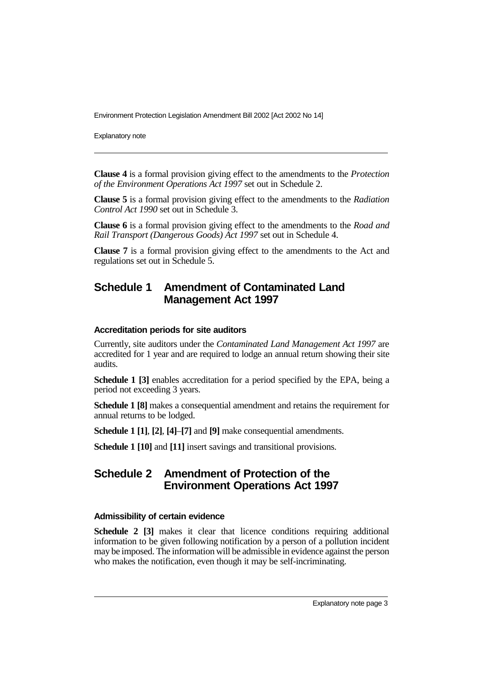Explanatory note

**Clause 4** is a formal provision giving effect to the amendments to the *Protection of the Environment Operations Act 1997* set out in Schedule 2.

**Clause 5** is a formal provision giving effect to the amendments to the *Radiation Control Act 1990* set out in Schedule 3.

**Clause 6** is a formal provision giving effect to the amendments to the *Road and Rail Transport (Dangerous Goods) Act 1997* set out in Schedule 4.

**Clause 7** is a formal provision giving effect to the amendments to the Act and regulations set out in Schedule 5.

# **Schedule 1 Amendment of Contaminated Land Management Act 1997**

#### **Accreditation periods for site auditors**

Currently, site auditors under the *Contaminated Land Management Act 1997* are accredited for 1 year and are required to lodge an annual return showing their site audits.

**Schedule 1 [3]** enables accreditation for a period specified by the EPA, being a period not exceeding 3 years.

**Schedule 1 [8]** makes a consequential amendment and retains the requirement for annual returns to be lodged.

**Schedule 1 [1]**, **[2]**, **[4]**–**[7]** and **[9]** make consequential amendments.

**Schedule 1 [10]** and **[11]** insert savings and transitional provisions.

## **Schedule 2 Amendment of Protection of the Environment Operations Act 1997**

#### **Admissibility of certain evidence**

**Schedule 2 [3]** makes it clear that licence conditions requiring additional information to be given following notification by a person of a pollution incident may be imposed. The information will be admissible in evidence against the person who makes the notification, even though it may be self-incriminating.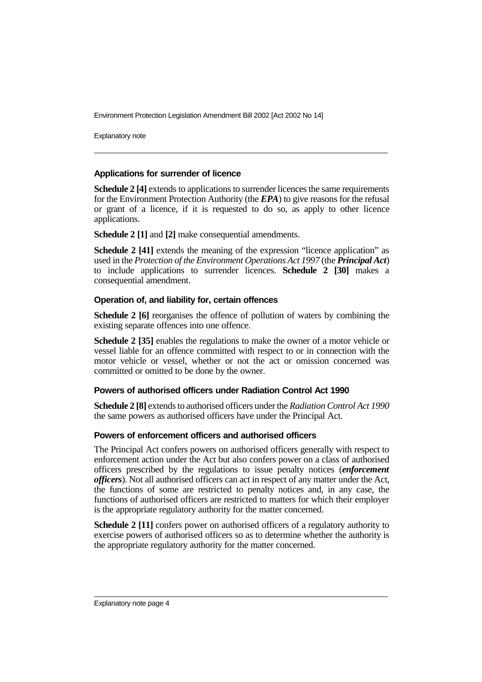Explanatory note

#### **Applications for surrender of licence**

**Schedule 2 [4]** extends to applications to surrender licences the same requirements for the Environment Protection Authority (the *EPA*) to give reasons for the refusal or grant of a licence, if it is requested to do so, as apply to other licence applications.

**Schedule 2 [1]** and **[2]** make consequential amendments.

**Schedule 2 [41]** extends the meaning of the expression "licence application" as used in the *Protection of the Environment Operations Act 1997* (the *Principal Act*) to include applications to surrender licences. **Schedule 2 [30]** makes a consequential amendment.

#### **Operation of, and liability for, certain offences**

**Schedule 2 [6]** reorganises the offence of pollution of waters by combining the existing separate offences into one offence.

**Schedule 2 [35]** enables the regulations to make the owner of a motor vehicle or vessel liable for an offence committed with respect to or in connection with the motor vehicle or vessel, whether or not the act or omission concerned was committed or omitted to be done by the owner.

#### **Powers of authorised officers under Radiation Control Act 1990**

**Schedule 2 [8]** extends to authorised officers under the *Radiation Control Act 1990* the same powers as authorised officers have under the Principal Act.

#### **Powers of enforcement officers and authorised officers**

The Principal Act confers powers on authorised officers generally with respect to enforcement action under the Act but also confers power on a class of authorised officers prescribed by the regulations to issue penalty notices (*enforcement officers*). Not all authorised officers can act in respect of any matter under the Act, the functions of some are restricted to penalty notices and, in any case, the functions of authorised officers are restricted to matters for which their employer is the appropriate regulatory authority for the matter concerned.

**Schedule 2 [11]** confers power on authorised officers of a regulatory authority to exercise powers of authorised officers so as to determine whether the authority is the appropriate regulatory authority for the matter concerned.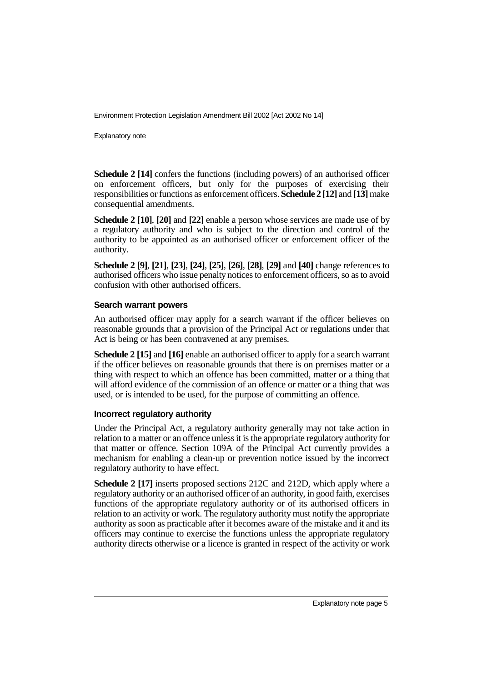Explanatory note

**Schedule 2 [14]** confers the functions (including powers) of an authorised officer on enforcement officers, but only for the purposes of exercising their responsibilities or functions as enforcement officers. **Schedule 2 [12]** and **[13]**make consequential amendments.

**Schedule 2 [10]**, **[20]** and **[22]** enable a person whose services are made use of by a regulatory authority and who is subject to the direction and control of the authority to be appointed as an authorised officer or enforcement officer of the authority.

**Schedule 2 [9]**, **[21]**, **[23]**, **[24]**, **[25]**, **[26]**, **[28]**, **[29]** and **[40]** change references to authorised officers who issue penalty notices to enforcement officers, so as to avoid confusion with other authorised officers.

#### **Search warrant powers**

An authorised officer may apply for a search warrant if the officer believes on reasonable grounds that a provision of the Principal Act or regulations under that Act is being or has been contravened at any premises.

**Schedule 2 [15]** and **[16]** enable an authorised officer to apply for a search warrant if the officer believes on reasonable grounds that there is on premises matter or a thing with respect to which an offence has been committed, matter or a thing that will afford evidence of the commission of an offence or matter or a thing that was used, or is intended to be used, for the purpose of committing an offence.

#### **Incorrect regulatory authority**

Under the Principal Act, a regulatory authority generally may not take action in relation to a matter or an offence unless it is the appropriate regulatory authority for that matter or offence. Section 109A of the Principal Act currently provides a mechanism for enabling a clean-up or prevention notice issued by the incorrect regulatory authority to have effect.

**Schedule 2 [17]** inserts proposed sections 212C and 212D, which apply where a regulatory authority or an authorised officer of an authority, in good faith, exercises functions of the appropriate regulatory authority or of its authorised officers in relation to an activity or work. The regulatory authority must notify the appropriate authority as soon as practicable after it becomes aware of the mistake and it and its officers may continue to exercise the functions unless the appropriate regulatory authority directs otherwise or a licence is granted in respect of the activity or work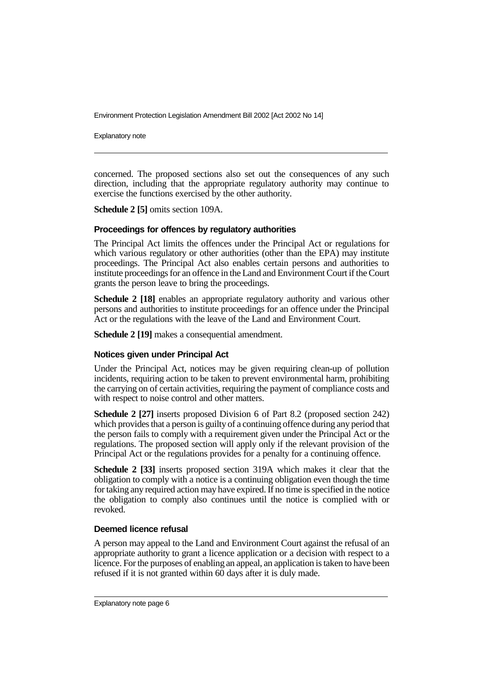Explanatory note

concerned. The proposed sections also set out the consequences of any such direction, including that the appropriate regulatory authority may continue to exercise the functions exercised by the other authority.

**Schedule 2 [5]** omits section 109A.

#### **Proceedings for offences by regulatory authorities**

The Principal Act limits the offences under the Principal Act or regulations for which various regulatory or other authorities (other than the EPA) may institute proceedings. The Principal Act also enables certain persons and authorities to institute proceedings for an offence in the Land and Environment Court if the Court grants the person leave to bring the proceedings.

**Schedule 2 [18]** enables an appropriate regulatory authority and various other persons and authorities to institute proceedings for an offence under the Principal Act or the regulations with the leave of the Land and Environment Court.

**Schedule 2 [19]** makes a consequential amendment.

#### **Notices given under Principal Act**

Under the Principal Act, notices may be given requiring clean-up of pollution incidents, requiring action to be taken to prevent environmental harm, prohibiting the carrying on of certain activities, requiring the payment of compliance costs and with respect to noise control and other matters.

**Schedule 2 [27]** inserts proposed Division 6 of Part 8.2 (proposed section 242) which provides that a person is guilty of a continuing offence during any period that the person fails to comply with a requirement given under the Principal Act or the regulations. The proposed section will apply only if the relevant provision of the Principal Act or the regulations provides for a penalty for a continuing offence.

**Schedule 2 [33]** inserts proposed section 319A which makes it clear that the obligation to comply with a notice is a continuing obligation even though the time for taking any required action may have expired. If no time is specified in the notice the obligation to comply also continues until the notice is complied with or revoked.

#### **Deemed licence refusal**

A person may appeal to the Land and Environment Court against the refusal of an appropriate authority to grant a licence application or a decision with respect to a licence. For the purposes of enabling an appeal, an application is taken to have been refused if it is not granted within 60 days after it is duly made.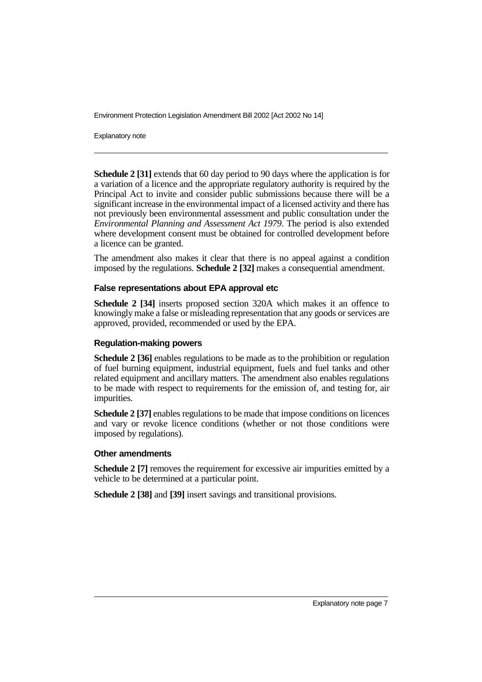Explanatory note

**Schedule 2 [31]** extends that 60 day period to 90 days where the application is for a variation of a licence and the appropriate regulatory authority is required by the Principal Act to invite and consider public submissions because there will be a significant increase in the environmental impact of a licensed activity and there has not previously been environmental assessment and public consultation under the *Environmental Planning and Assessment Act 1979*. The period is also extended where development consent must be obtained for controlled development before a licence can be granted.

The amendment also makes it clear that there is no appeal against a condition imposed by the regulations. **Schedule 2 [32]** makes a consequential amendment.

#### **False representations about EPA approval etc**

**Schedule 2 [34]** inserts proposed section 320A which makes it an offence to knowingly make a false or misleading representation that any goods or services are approved, provided, recommended or used by the EPA.

#### **Regulation-making powers**

**Schedule 2 [36]** enables regulations to be made as to the prohibition or regulation of fuel burning equipment, industrial equipment, fuels and fuel tanks and other related equipment and ancillary matters. The amendment also enables regulations to be made with respect to requirements for the emission of, and testing for, air impurities.

**Schedule 2 [37]** enables regulations to be made that impose conditions on licences and vary or revoke licence conditions (whether or not those conditions were imposed by regulations).

#### **Other amendments**

**Schedule 2 [7]** removes the requirement for excessive air impurities emitted by a vehicle to be determined at a particular point.

**Schedule 2 [38]** and **[39]** insert savings and transitional provisions.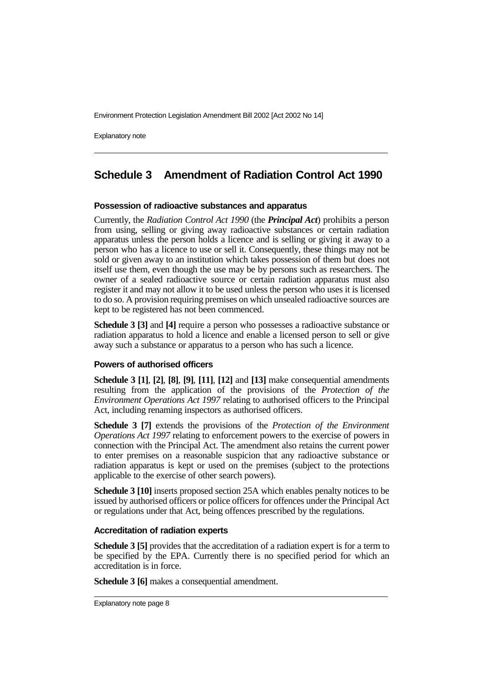Explanatory note

# **Schedule 3 Amendment of Radiation Control Act 1990**

#### **Possession of radioactive substances and apparatus**

Currently, the *Radiation Control Act 1990* (the *Principal Act*) prohibits a person from using, selling or giving away radioactive substances or certain radiation apparatus unless the person holds a licence and is selling or giving it away to a person who has a licence to use or sell it. Consequently, these things may not be sold or given away to an institution which takes possession of them but does not itself use them, even though the use may be by persons such as researchers. The owner of a sealed radioactive source or certain radiation apparatus must also register it and may not allow it to be used unless the person who uses it is licensed to do so. A provision requiring premises on which unsealed radioactive sources are kept to be registered has not been commenced.

**Schedule 3 [3]** and **[4]** require a person who possesses a radioactive substance or radiation apparatus to hold a licence and enable a licensed person to sell or give away such a substance or apparatus to a person who has such a licence.

#### **Powers of authorised officers**

**Schedule 3 [1]**, **[2]**, **[8]**, **[9]**, **[11]**, **[12]** and **[13]** make consequential amendments resulting from the application of the provisions of the *Protection of the Environment Operations Act 1997* relating to authorised officers to the Principal Act, including renaming inspectors as authorised officers.

**Schedule 3 [7]** extends the provisions of the *Protection of the Environment Operations Act 1997* relating to enforcement powers to the exercise of powers in connection with the Principal Act. The amendment also retains the current power to enter premises on a reasonable suspicion that any radioactive substance or radiation apparatus is kept or used on the premises (subject to the protections applicable to the exercise of other search powers).

**Schedule 3 [10]** inserts proposed section 25A which enables penalty notices to be issued by authorised officers or police officers for offences under the Principal Act or regulations under that Act, being offences prescribed by the regulations.

#### **Accreditation of radiation experts**

**Schedule 3 [5]** provides that the accreditation of a radiation expert is for a term to be specified by the EPA. Currently there is no specified period for which an accreditation is in force.

**Schedule 3 [6]** makes a consequential amendment.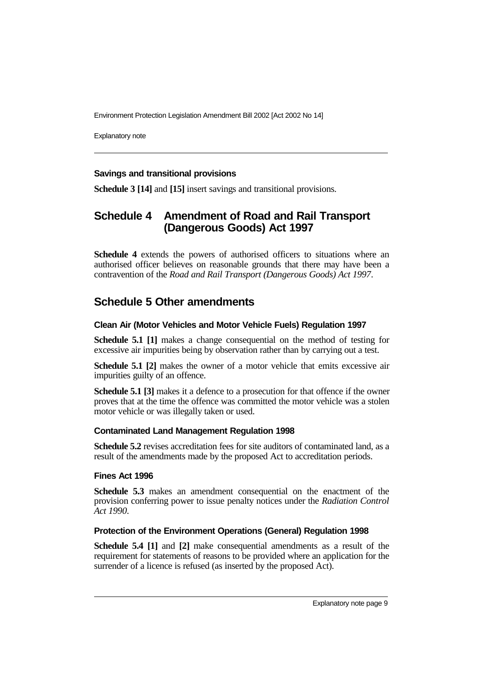Explanatory note

#### **Savings and transitional provisions**

**Schedule 3 [14]** and **[15]** insert savings and transitional provisions.

# **Schedule 4 Amendment of Road and Rail Transport (Dangerous Goods) Act 1997**

**Schedule 4** extends the powers of authorised officers to situations where an authorised officer believes on reasonable grounds that there may have been a contravention of the *Road and Rail Transport (Dangerous Goods) Act 1997*.

# **Schedule 5 Other amendments**

#### **Clean Air (Motor Vehicles and Motor Vehicle Fuels) Regulation 1997**

**Schedule 5.1 [1]** makes a change consequential on the method of testing for excessive air impurities being by observation rather than by carrying out a test.

**Schedule 5.1 [2]** makes the owner of a motor vehicle that emits excessive air impurities guilty of an offence.

**Schedule 5.1 [3]** makes it a defence to a prosecution for that offence if the owner proves that at the time the offence was committed the motor vehicle was a stolen motor vehicle or was illegally taken or used.

#### **Contaminated Land Management Regulation 1998**

**Schedule 5.2** revises accreditation fees for site auditors of contaminated land, as a result of the amendments made by the proposed Act to accreditation periods.

#### **Fines Act 1996**

**Schedule 5.3** makes an amendment consequential on the enactment of the provision conferring power to issue penalty notices under the *Radiation Control Act 1990*.

#### **Protection of the Environment Operations (General) Regulation 1998**

**Schedule 5.4 [1]** and **[2]** make consequential amendments as a result of the requirement for statements of reasons to be provided where an application for the surrender of a licence is refused (as inserted by the proposed Act).